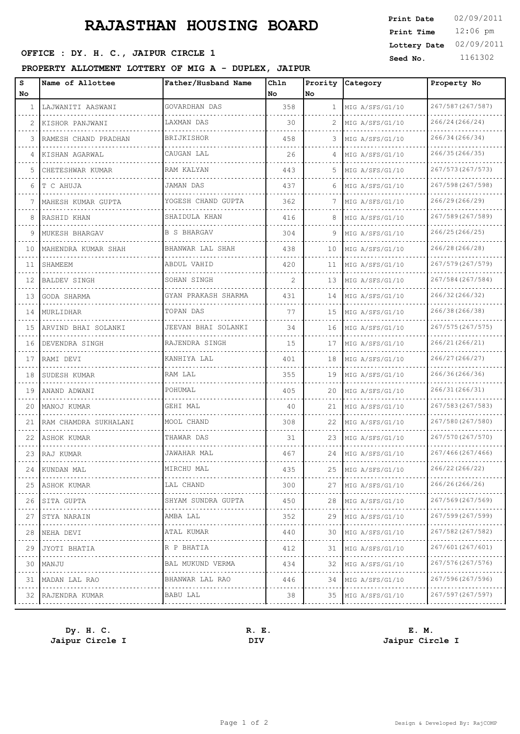## **RAJASTHAN HOUSING BOARD**

## **SEED OFFICE : DY. H. C., JAIPUR CIRCLE 1 Seed No.** 1161302

### **PROPERTY ALLOTMENT LOTTERY OF MIG A - DUPLEX, JAIPUR**

| s<br>No.     | Name of Allottee          | Father/Husband Name               | Chln<br>l No   | Prority<br>lNo. | <b>Category</b>      | Property No                 |
|--------------|---------------------------|-----------------------------------|----------------|-----------------|----------------------|-----------------------------|
| $\mathbf{1}$ | LAJWANITI AASWANI         | GOVARDHAN DAS                     | 358            | $\mathbf{1}$    | MIG A/SFS/G1/10      | 267/587 (267/587)           |
| 2            | KISHOR PANJWANI<br>.      | LAXMAN DAS                        | 30             | 2               | MIG A/SFS/G1/10      | 266/24 (266/24)             |
| 3            | RAMESH CHAND PRADHAN      | BRIJKISHOR                        | 458            | 3.              | MIG A/SFS/G1/10      | 266/34 (266/34)             |
| 4            | KISHAN AGARWAL            | CAUGAN LAL                        | 26             | 4               | MIG A/SFS/G1/10      | 266/35 (266/35)             |
| 5            | CHETESHWAR KUMAR          | RAM KALYAN                        | 443            | 5.              | MIG A/SFS/G1/10      | 267/573 (267/573)           |
| 6            | T C AHUJA                 | JAMAN DAS                         | 437            | 6               | MIG A/SFS/G1/10      | 267/598 (267/598)           |
| 7            | MAHESH KUMAR GUPTA        | YOGESH CHAND GUPTA                | 362            | 7               | MIG A/SFS/G1/10      | 266/29(266/29)              |
| 8            | RASHID KHAN               | SHAIDULA KHAN                     | 416            | 8               | MIG A/SFS/G1/10      | 267/589 (267/589)           |
| 9            | MUKESH BHARGAV            | <b>B S BHARGAV</b>                | 304            | 9               | MIG A/SFS/G1/10      | 266/25(266/25)              |
| 10           | MAHENDRA KUMAR SHAH       | BHANWAR LAL SHAH                  | 438            | 10              | MIG A/SFS/G1/10      | 266/28 (266/28)             |
| 11           | SHAMEEM                   | ABDUL VAHID                       | 420            | 11              | MIG A/SFS/G1/10      | 267/579 (267/579)           |
| 12           | <b>BALDEV SINGH</b>       | SOHAN SINGH<br>.                  | $\mathfrak{D}$ | 13              | MIG A/SFS/G1/10      | 267/584 (267/584)<br>.      |
| 13           | GODA SHARMA               | GYAN PRAKASH SHARMA               | 431            | 14              | MIG A/SFS/G1/10      | 266/32 (266/32)             |
| 14           | MURLIDHAR                 | TOPAN DAS                         | 77             | 15              | MIG A/SFS/G1/10<br>. | 266/38 (266/38)<br>.        |
| 15           | ARVIND BHAI SOLANKI       | JEEVAN BHAI SOLANKI               | 34             | 16              | MIG A/SFS/G1/10      | 267/575 (267/575)           |
| 16           | DEVENDRA SINGH            | RAJENDRA SINGH<br><u>.</u>        | 15             | 17              | MIG A/SFS/G1/10<br>. | 266/21 (266/21)<br><u>.</u> |
| 17           | RAMI DEVI                 | KANHIYA LAL                       | 401            | 18              | MIG A/SFS/G1/10      | 266/27 (266/27)             |
| 18           | SUDESH KUMAR              | RAM LAL                           | 355            | 19              | MIG A/SFS/G1/10<br>. | 266/36 (266/36)<br>.        |
| 19           | ANAND ADWANI              | POHUMAL                           | 405            | 20              | MIG A/SFS/G1/10      | 266/31 (266/31)             |
| 20           | MANOJ KUMAR               | GEHI MAL<br>distribution district | 40             | 21              | MIG A/SFS/G1/10<br>. | 267/583 (267/583)<br>.      |
| 21           | RAM CHAMDRA SUKHALANI     | MOOL CHAND                        | 308            | 22              | MIG A/SFS/G1/10      | 267/580 (267/580)           |
| 22           | ASHOK KUMAR               | THAWAR DAS                        | 31             | 23              | MIG A/SFS/G1/10<br>. | 267/570 (267/570)           |
| 23           | RAJ KUMAR                 | JAWAHAR MAL                       | 467            | 24              | MIG A/SFS/G1/10      | 267/466 (267/466)           |
| 24           | KUNDAN MAL                | MIRCHU MAL                        | 435            | 25              | MIG A/SFS/G1/10      | 266/22 (266/22)             |
| 25           | ASHOK KUMAR               | LAL CHAND<br>.                    | 300            | 27              | MIG A/SFS/G1/10      | 266/26(266/26)              |
| 26           | SITA GUPTA                | SHYAM SUNDRA GUPTA                | 450            | 28              | MIG A/SFS/G1/10      | 267/569 (267/569)           |
| 27           | STYA NARAIN<br>.          | AMBA LAL<br>.                     | 352            | 29              | MIG A/SFS/G1/10      | 267/599 (267/599)<br>.      |
| 28           | NEHA DEVI                 | ATAL KUMAR<br>.                   | 440            | 30              | MIG A/SFS/G1/10      | 267/582 (267/582)           |
| 29           | JYOTI BHATIA              | R P BHATIA<br>.                   | 412            | 31              | MIG A/SFS/G1/10      | 267/601 (267/601)<br>.      |
| 30           | MANJU                     | BAL MUKUND VERMA                  | 434            | 32              | MIG A/SFS/G1/10      | 267/576 (267/576)           |
| 31           | MADAN LAL RAO<br><u>.</u> | BHANWAR LAL RAO<br>.              | 446            | 34              | MIG A/SFS/G1/10      | 267/596 (267/596)<br>.      |
|              | 32 RAJENDRA KUMAR         | BABU LAL                          | 38             |                 | 35 MIG A/SFS/G1/10   | 267/597 (267/597)           |

**Dy. H. C. R. E. E. M. Jaipur Circle I DIV Jaipur Circle I**